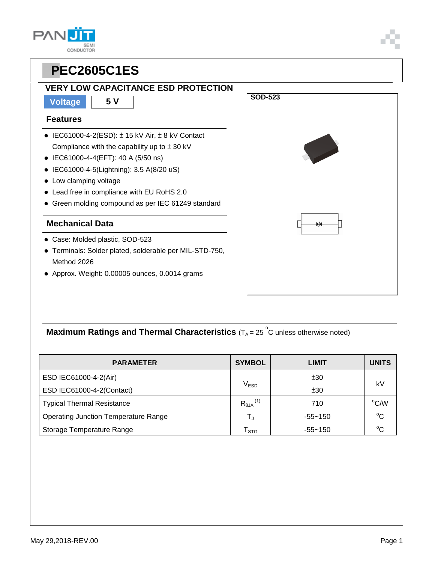| SEI       |
|-----------|
| CONDUCTOR |

### **VERY LOW CAPACITANCE ESD PROTECTION**

**Voltage 5 V**

#### **Features**

- $\bullet$  IEC61000-4-2(ESD):  $\pm$  15 kV Air,  $\pm$  8 kV Contact Compliance with the capability up to  $\pm$  30 kV
- IEC61000-4-4(EFT): 40 A (5/50 ns)
- IEC61000-4-5(Lightning): 3.5 A(8/20 uS)
- Low clamping voltage
- Lead free in compliance with EU RoHS 2.0
- Green molding compound as per IEC 61249 standard

### **Mechanical Data**

- Case: Molded plastic, SOD-523
- Terminals: Solder plated, solderable per MIL-STD-750, Method 2026
- Approx. Weight: 0.00005 ounces, 0.0014 grams



## **Maximum Ratings and Thermal Characteristics** (T<sub>A</sub> = 25<sup>°</sup>C unless otherwise noted)

| <b>PARAMETER</b>                            | <b>SYMBOL</b>                 | <b>LIMIT</b> | <b>UNITS</b> |
|---------------------------------------------|-------------------------------|--------------|--------------|
| ESD IEC61000-4-2(Air)                       |                               | ±30          |              |
| ESD IEC61000-4-2(Contact)                   | $\mathsf{V}_{\mathsf{ESD}}$   | ±30          | k٧           |
| <b>Typical Thermal Resistance</b>           | $R_{\theta$ JA <sup>(1)</sup> | 710          | °C/W         |
| <b>Operating Junction Temperature Range</b> | $\mathsf{T}_{\mathrm{J}}$     | $-55 - 150$  | $^{\circ}C$  |
| Storage Temperature Range                   | l stg                         | $-55 - 150$  | °C           |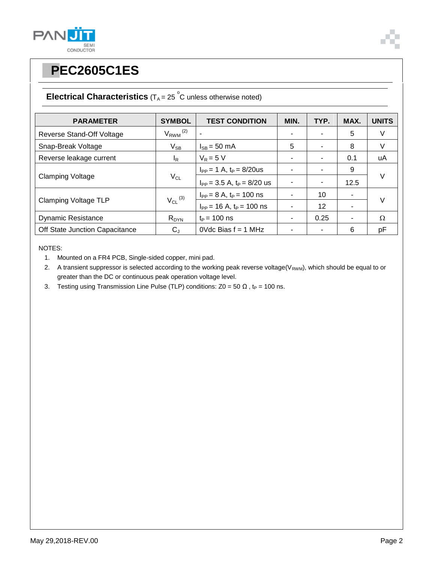



## **Electrical Characteristics**  $(T_A = 25 \degree C$  unless otherwise noted)

| <b>PARAMETER</b>               | <b>SYMBOL</b>            | <b>TEST CONDITION</b>             | MIN. | TYP. | MAX. | <b>UNITS</b> |
|--------------------------------|--------------------------|-----------------------------------|------|------|------|--------------|
| Reverse Stand-Off Voltage      | $V_{RWM}$ <sup>(2)</sup> |                                   |      |      | 5    | V            |
| Snap-Break Voltage             | $V_{SB}$                 | $I_{SR}$ = 50 mA                  | 5    |      | 8    | V            |
| Reverse leakage current        | l <sub>R</sub>           | $V_R = 5 V$                       |      |      | 0.1  | uA           |
| <b>Clamping Voltage</b>        | $V_{CL}$                 | $I_{PP} = 1 A$ , $t_P = 8/20$ us  |      |      | 9    | $\vee$       |
|                                |                          | $I_{PP}$ = 3.5 A, $t_P$ = 8/20 us |      |      | 12.5 |              |
| <b>Clamping Voltage TLP</b>    |                          | $I_{PP} = 8 A$ , $t_P = 100$ ns   |      | 10   | ٠    | $\vee$       |
|                                | $V_{CL}$ (3)             | $I_{PP}$ = 16 A, $t_P$ = 100 ns   |      | 12   |      |              |
| <b>Dynamic Resistance</b>      | $R_{DYN}$                | $t_P = 100$ ns                    |      | 0.25 | ۰    | $\Omega$     |
| Off State Junction Capacitance | $C_{J}$                  | $0$ Vdc Bias $f = 1$ MHz          |      |      | 6    | pF           |

NOTES:

1. Mounted on a FR4 PCB, Single-sided copper, mini pad.

2. A transient suppressor is selected according to the working peak reverse voltage( $V_{RWM}$ ), which should be equal to or greater than the DC or continuous peak operation voltage level.

3. Testing using Transmission Line Pulse (TLP) conditions:  $Z0 = 50 \Omega$ , t<sub>P</sub> = 100 ns.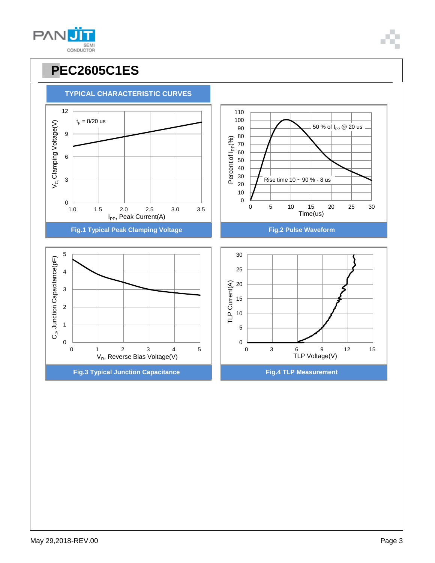

# **PPEC2605C1ES**

**TYPICAL CHARACTERISTIC CURVES**

9

 $t_{\rm P} = 8/20 \text{ us}$ 

12



50 % of I<sub>PP</sub> @ 20 us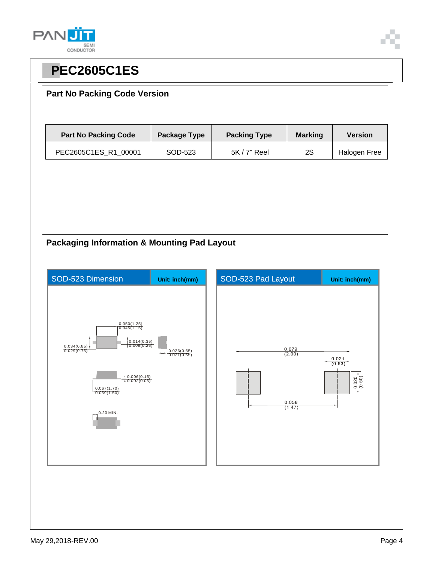



### **Part No Packing Code Version**

| <b>Part No Packing Code</b> | Package Type | <b>Packing Type</b> | <b>Marking</b> | <b>Version</b> |
|-----------------------------|--------------|---------------------|----------------|----------------|
| PEC2605C1ES R1 00001        | SOD-523      | $5K/7"$ Reel        | 2S             | Halogen Free   |

### **Packaging Information & Mounting Pad Layout**